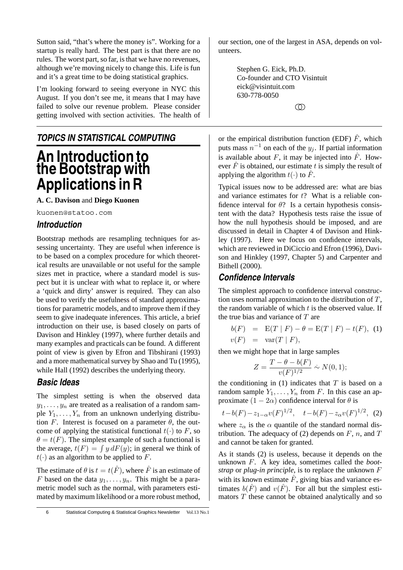Sutton said, "that's where the money is". Working for a startup is really hard. The best part is that there are no rules. The worst part, so far, is that we have no revenues, although we're moving nicely to change this. Life is fun and it's a great time to be doing statistical graphics.

I'm looking forward to seeing everyone in NYC this August. If you don't see me, it means that I may have failed to solve our revenue problem. Please consider getting involved with section activities. The health of

*TOPICS IN STATISTICAL COMPUTING*

## **An Introduction to the Bootstrap with Applications in R**

**A. C. Davison** and **Diego Kuonen**

kuonen@statoo.com

#### *Introduction*

Bootstrap methods are resampling techniques for assessing uncertainty. They are useful when inference is to be based on a complex procedure for which theoretical results are unavailable or not useful for the sample sizes met in practice, where a standard model is suspect but it is unclear with what to replace it, or where a 'quick and dirty' answer is required. They can also be used to verify the usefulness of standard approximations for parametric models, and to improve them if they seem to give inadequate inferences. This article, a brief introduction on their use, is based closely on parts of Davison and Hinkley (1997), where further details and many examples and practicals can be found. A different point of view is given by Efron and Tibshirani (1993) and a more mathematical survey by Shao and Tu (1995), while Hall (1992) describes the underlying theory.

#### *Basic Ideas*

The simplest setting is when the observed data  $y_1, \ldots, y_n$  are treated as a realisation of a random sample  $Y_1, \ldots, Y_n$  from an unknown underlying distribution F. Interest is focused on a parameter  $\theta$ , the outcome of applying the statistical functional  $t(\cdot)$  to F, so  $\theta = t(F)$ . The simplest example of such a functional is the average,  $t(F) = \int y dF(y)$ ; in general we think of  $t(\cdot)$  as an algorithm to be applied to F.

The estimate of  $\theta$  is  $t = t(\hat{F})$ , where  $\hat{F}$  is an estimate of F based on the data  $y_1, \ldots, y_n$ . This might be a parametric model such as the normal, with parameters estimated by maximum likelihood or a more robust method,

Bithell (2000).

*Confidence Intervals*

then we might hope that in large samples

the true bias and variance of  $T$  are

 $v(F) = \text{var}(T | F),$ 

$$
Z = \frac{T - \theta - b(F)}{v(F)^{1/2}} \sim N(0, 1);
$$

The simplest approach to confidence interval construction uses normal approximation to the distribution of  $T$ , the random variable of which  $t$  is the observed value. If

 $b(F) = \mathbb{E}(T | F) - \theta = \mathbb{E}(T | F) - t(F),$  (1)

the conditioning in  $(1)$  indicates that T is based on a random sample  $Y_1, \ldots, Y_n$  from F. In this case an approximate  $(1 - 2\alpha)$  confidence interval for  $\theta$  is

$$
t-b(F) - z_{1-\alpha}v(F)^{1/2}
$$
,  $t-b(F) - z_{\alpha}v(F)^{1/2}$ , (2)

where  $z_{\alpha}$  is the  $\alpha$  quantile of the standard normal distribution. The adequacy of (2) depends on  $F$ , n, and  $T$ and cannot be taken for granted.

As it stands (2) is useless, because it depends on the unknown F. A key idea, sometimes called the *bootstrap* or *plug-in principle*, is to replace the unknown F with its known estimate  $\hat{F}$ , giving bias and variance estimates  $b(\hat{F})$  and  $v(\hat{F})$ . For all but the simplest estimators  $T$  these cannot be obtained analytically and so

6 Statistical Computing & Statistical Graphics Newsletter Vol.13 No.1

our section, one of the largest in ASA, depends on volunteers.

> Stephen G. Eick, Ph.D. Co-founder and CTO Visintuit eick@visintuit.com 630-778-0050

applying the algorithm  $t(\cdot)$  to  $\hat{F}$ .

 $\circledD$ 

or the empirical distribution function (EDF)  $\hat{F}$ , which puts mass  $n^{-1}$  on each of the  $y_j$ . If partial information is available about F, it may be injected into  $\hat{F}$ . However  $\hat{F}$  is obtained, our estimate t is simply the result of

Typical issues now to be addressed are: what are bias and variance estimates for t? What is a reliable confidence interval for  $\theta$ ? Is a certain hypothesis consistent with the data? Hypothesis tests raise the issue of how the null hypothesis should be imposed, and are discussed in detail in Chapter 4 of Davison and Hinkley (1997). Here we focus on confidence intervals, which are reviewed in DiCiccio and Efron (1996), Davison and Hinkley (1997, Chapter 5) and Carpenter and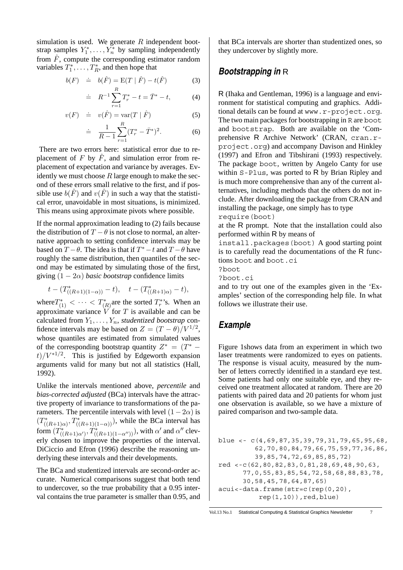simulation is used. We generate  $R$  independent bootstrap samples  $Y_1^*, \ldots, Y_n^*$  by sampling independently from  $\hat{F}$ , compute the corresponding estimator random variables  $T_1^*, \ldots, T_R^*$ , and then hope that

$$
b(F) \quad \doteq \quad b(\hat{F}) = \mathcal{E}(T \mid \hat{F}) - t(\hat{F}) \tag{3}
$$

$$
\doteq R^{-1} \sum_{r=1}^{R} T_r^* - t = \bar{T}^* - t,\tag{4}
$$

$$
v(F) \quad \doteq \quad v(\hat{F}) = \text{var}(T \mid \hat{F}) \tag{5}
$$

$$
\dot{=} \quad \frac{1}{R-1} \sum_{r=1}^{R} (T_r^* - \bar{T}^*)^2. \tag{6}
$$

There are two errors here: statistical error due to replacement of F by  $\hat{F}$ , and simulation error from replacement of expectation and variance by averages. Evidently we must choose  $R$  large enough to make the second of these errors small relative to the first, and if possible use  $b(F)$  and  $v(F)$  in such a way that the statistical error, unavoidable in most situations, is minimized. This means using approximate pivots where possible.

If the normal approximation leading to (2) fails because the distribution of  $T - \theta$  is not close to normal, an alternative approach to setting confidence intervals may be based on  $T - \theta$ . The idea is that if  $T^* - t$  and  $T - \theta$  have roughly the same distribution, then quantiles of the second may be estimated by simulating those of the first, giving  $(1 - 2\alpha)$  *basic bootstrap* confidence limits

$$
t-(T^*_{((R+1)(1-\alpha))}-t),\quad t-(T^*_{((R+1)\alpha)}-t),
$$

where  $T^*_{(1)} < \cdots < T^*_{(R)}$  are the sorted  $T^*_{r}$ 's. When an approximate variance  $\overline{V}$  for  $T$  is available and can be calculated from  $Y_1, \ldots, Y_n$ , *studentized bootstrap* confidence intervals may be based on  $Z = (T - \theta)/V^{1/2}$ , whose quantiles are estimated from simulated values of the corresponding bootstrap quantity  $Z^* = (T^*$  $t)/V^{*1/2}$ . This is justified by Edgeworth expansion arguments valid for many but not all statistics (Hall, 1992).

Unlike the intervals mentioned above, *percentile* and *bias-corrected adjusted* (BCa) intervals have the attractive property of invariance to transformations of the parameters. The percentile intervals with level  $(1-2\alpha)$  is  $(T^*_{((R+1)\alpha)}, T^*_{((R+1)(1-\alpha))})$ , while the BCa interval has form  $(T^*_{((R+1)\alpha')}, T^*_{((R+1)(1-\alpha''))})$ , with  $\alpha'$  and  $\alpha''$  cleverly chosen to improve the properties of the interval. DiCiccio and Efron (1996) describe the reasoning underlying these intervals and their developments.

The BCa and studentized intervals are second-order accurate. Numerical comparisons suggest that both tend to undercover, so the true probability that a 0.95 interval contains the true parameter is smaller than 0.95, and

that BCa intervals are shorter than studentized ones, so they undercover by slightly more.

#### *Bootstrapping in* R

R (Ihaka and Gentleman, 1996) is a language and environment for statistical computing and graphics. Additional details can be found at www.r-project.org. The two main packages for bootstrapping in R are boot and bootstrap. Both are available on the 'Comprehensive R Archive Network' (CRAN, cran.rproject.org) and accompany Davison and Hinkley (1997) and Efron and Tibshirani (1993) respectively. The package boot, written by Angelo Canty for use within  $S$ -Plus, was ported to R by Brian Ripley and is much more comprehensive than any of the current alternatives, including methods that the others do not include. After downloading the package from CRAN and installing the package, one simply has to type require(boot)

at the R prompt. Note that the installation could also performed within R by means of

install.packages(boot) A good starting point is to carefully read the documentations of the R functions boot and boot.ci

?boot

?boot.ci

and to try out one of the examples given in the 'Examples' section of the corresponding help file. In what follows we illustrate their use.

#### *Example*

Figure 1shows data from an experiment in which two laser treatments were randomized to eyes on patients. The response is visual acuity, measured by the number of letters correctly identified in a standard eye test. Some patients had only one suitable eye, and they received one treatment allocated at random. There are 20 patients with paired data and 20 patients for whom just one observation is available, so we have a mixture of paired comparison and two-sample data.

```
blue <- c(4,69,87,35,39,79,31,79,65,95,68,
         62,70,80,84,79,66,75,59,77,36,86,
         39,85,74,72,69,85,85,72)
red <-c(62,80,82,83,0,81,28,69,48,90,63,
      77,0,55,83,85,54,72,58,68,88,83,78,
      30,58,45,78,64,87,65)
acui<-data.frame(str=c(rep(0,20),
          rep(1,10)), red, blue)
```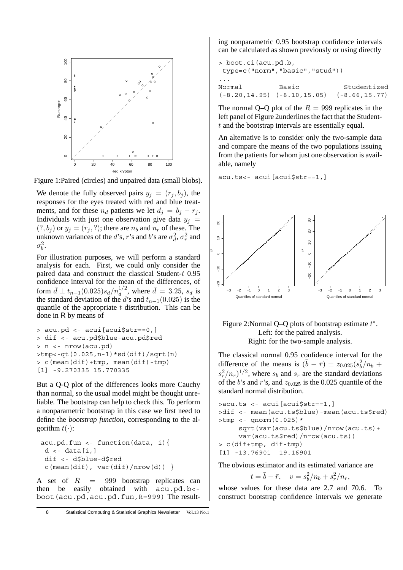

Figure 1:Paired (circles) and unpaired data (small blobs).

We denote the fully observed pairs  $y_j = (r_j, b_j)$ , the responses for the eyes treated with red and blue treatments, and for these  $n_d$  patients we let  $d_i = b_i - r_i$ . Individuals with just one observation give data  $y_i$  =  $(?, b<sub>i</sub>)$  or  $y<sub>i</sub> = (r<sub>i</sub>, ?)$ ; there are  $n<sub>b</sub>$  and  $n<sub>r</sub>$  of these. The unknown variances of the d's, r's and b's are  $\sigma_d^2$ ,  $\sigma_r^2$  and  $\sigma_b^2$ .

For illustration purposes, we will perform a standard analysis for each. First, we could only consider the paired data and construct the classical Student-t 0.95 confidence interval for the mean of the differences, of form  $\bar{d} \pm t_{n-1}(0.025) s_d/n_d^{1/2}$ , where  $\bar{d} = 3.25$ ,  $s_d$  is the standard deviation of the d's and  $t_{n-1}(0.025)$  is the quantile of the appropriate  $t$  distribution. This can be done in R by means of

```
> acu.pd <- acui[acui$str==0,]
> dif <- acu.pd$blue-acu.pd$red
> n <- nrow(acu.pd)
>tmp<-qt(0.025,n-1)*sd(dif)/sqrt(n)
> c(mean(dif)+tmp, mean(dif)-tmp)
[1] -9.270335 15.770335
```
But a Q-Q plot of the differences looks more Cauchy than normal, so the usual model might be thought unreliable. The bootstrap can help to check this. To perform a nonparametric bootstrap in this case we first need to define the *bootstrap function*, corresponding to the algorithm  $t(\cdot)$ :

```
acu.pd.fun <- function(data, i){
 d \leftarrow data[i, l]dif <- d$blue-d$red
 c(mean(dif), var(dif)/nrow(d))
```
A set of  $R = 999$  bootstrap replicates can then be easily obtained with acu.pd.b< boot(acu.pd,acu.pd.fun,R=999) The resulting nonparametric 0.95 bootstrap confidence intervals can be calculated as shown previously or using directly

```
> boot.ci(acu.pd.b,
type=c("norm","basic","stud"))
...
Normal Basic Studentized
(-8.20,14.95) (-8.10,15.05) (-8.66,15.77)
```
The normal Q–Q plot of the  $R = 999$  replicates in the left panel of Figure 2underlines the fact that the Studentt and the bootstrap intervals are essentially equal.

An alternative is to consider only the two-sample data and compare the means of the two populations issuing from the patients for whom just one observation is available, namely

acu.ts<- acui[acui\$str==1,]



Figure 2: Normal Q–Q plots of bootstrap estimate  $t^*$ . Left: for the paired analysis. Right: for the two-sample analysis.

The classical normal 0.95 confidence interval for the difference of the means is  $(\bar{b} - \bar{r}) \pm z_{0.025}(s_b^2/n_b + \bar{s})$  $s_r^2/n_r$ )<sup>1/2</sup>, where  $s_b$  and  $s_r$  are the standard deviations of the b's and r's, and  $z_{0.025}$  is the 0.025 quantile of the standard normal distribution.

```
>acu.ts <- acui[acui$str==1,]
>dif <- mean(acu.ts$blue)-mean(acu.ts$red)
>tmp <- qnorm(0.025)*
     sqrt(var(acu.ts$blue)/nrow(acu.ts)+
     var(acu.ts$red)/nrow(acu.ts))
> c(dif+tmp, dif-tmp)
[1] -13.76901 19.16901
```
The obvious estimator and its estimated variance are

$$
t = \bar{b} - \bar{r}
$$
,  $v = s_b^2/n_b + s_r^2/n_r$ ,

whose values for these data are 2.7 and 70.6. To construct bootstrap confidence intervals we generate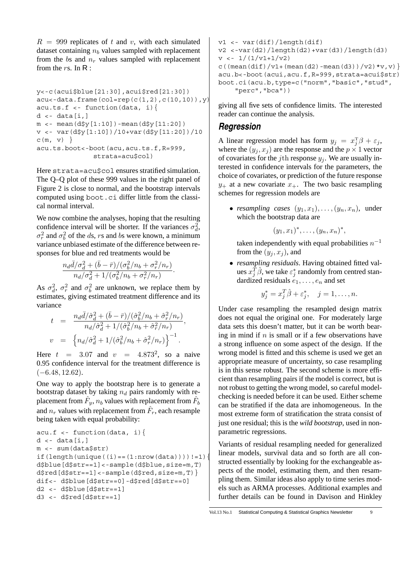$R = 999$  replicates of t and v, with each simulated dataset containing  $n_b$  values sampled with replacement from the bs and  $n_r$  values sampled with replacement from the  $rs$ . In  $\mathsf{R}$  :

```
y<-c(acui$blue[21:30],acui$red[21:30])
acc-data.frame(col=rep(c(1,2),c(10,10)),y)acu.ts.f < - function(data, i)d \leq -\frac{data[i,]}{k}m < - mean(d$y[1:10]) - mean(d$y[11:20])
v <- var(d$y[1:10])/10+var(d$y[11:20])/10
c(m, v)}
acu.ts.boot<-boot(acu,acu.ts.f,R=999,
              strata=acu$col)
```
Here strata=acu\$col ensures stratified simulation. The Q–Q plot of these 999 values in the right panel of Figure 2 is close to normal, and the bootstrap intervals computed using boot.ci differ little from the classical normal interval.

We now combine the analyses, hoping that the resulting confidence interval will be shorter. If the variances  $\sigma_d^2$ ,  $\sigma_r^2$  and  $\sigma_b^2$  of the ds, rs and bs were known, a minimum variance unbiased estimate of the difference between responses for blue and red treatments would be

$$
\frac{n_d\bar{d}/\sigma_d^2 + (\bar{b} - \bar{r})/(\sigma_b^2/n_b + \sigma_r^2/n_r)}{n_d/\sigma_d^2 + 1/(\sigma_b^2/n_b + \sigma_r^2/n_r)}.
$$

As  $\sigma_d^2$ ,  $\sigma_r^2$  and  $\sigma_b^2$  are unknown, we replace them by estimates, giving estimated treatment difference and its variance

$$
t = \frac{n_d \bar{d}/\hat{\sigma}_d^2 + (\bar{b} - \bar{r})/(\hat{\sigma}_b^2/n_b + \hat{\sigma}_r^2/n_r)}{n_d/\hat{\sigma}_d^2 + 1/(\hat{\sigma}_b^2/n_b + \hat{\sigma}_r^2/n_r)},
$$
  

$$
v = \left\{ n_d/\hat{\sigma}_d^2 + 1/(\hat{\sigma}_b^2/n_b + \hat{\sigma}_r^2/n_r) \right\}^{-1}.
$$

Here  $t = 3.07$  and  $v = 4.873^2$ , so a naive 0.95 confidence interval for the treatment difference is  $(-6.48, 12.62)$ .

One way to apply the bootstrap here is to generate a bootstrap dataset by taking  $n_d$  pairs randomly with replacement from  $\hat{F}_v$ ,  $n_b$  values with replacement from  $\hat{F}_b$ and  $n_r$  values with replacement from  $\hat{F}_r$ , each resample being taken with equal probability:

```
acu.f \leftarrow function(data, i)d \leftarrow data[i, ]m <- sum(data$str)
if(length(unique((i)==(1:nrow(data))))!=1)d$blue[d$str==1]<-sample(d$blue,size=m,T)
d$red[d$str==1]<-sample(d$red,size=m,T)dif<- d$blue[d$str==0]-d$red[d$str==0]
d2 <- d$blue[d$str==1]
d3 <- d$red[d$str==1]
```
v1 <- var(dif)/length(dif) v2 <-var(d2)/length(d2)+var(d3)/length(d3)  $v \leftarrow 1/(1/v1+1/v2)$ c((mean(dif)/v1+(mean(d2)-mean(d3))/v2)\*v,v)} acu.b<-boot(acui,acu.f,R=999,strata=acui\$str) boot.ci(acu.b,type=c("norm","basic","stud", "perc","bca"))

giving all five sets of confidence limits. The interested reader can continue the analysis.

#### *Regression*

A linear regression model has form  $y_j = x_j^T \beta + \varepsilon_j$ , where the  $(y_i, x_j)$  are the response and the  $p \times 1$  vector of covariates for the jth response  $y_i$ . We are usually interested in confidence intervals for the parameters, the choice of covariates, or prediction of the future response  $y_+$  at a new covariate  $x_+$ . The two basic resampling schemes for regression models are

• *resampling cases*  $(y_1, x_1), \ldots, (y_n, x_n)$ , under which the bootstrap data are

$$
(y_1,x_1)^*,\ldots,(y_n,x_n)^*,
$$

taken independently with equal probabilities  $n^{-1}$ from the  $(y_j, x_j)$ , and

• *resampling residuals*. Having obtained fitted values  $x_i^{\hat{T}}\hat{\beta}$ , we take  $\varepsilon_i^*$  randomly from centred standardized residuals  $e_1, \ldots, e_n$  and set

$$
y_j^* = x_j^T \hat{\beta} + \varepsilon_j^*, \quad j = 1, \dots, n.
$$

Under case resampling the resampled design matrix does not equal the original one. For moderately large data sets this doesn't matter, but it can be worth bearing in mind if  $n$  is small or if a few observations have a strong influence on some aspect of the design. If the wrong model is fitted and this scheme is used we get an appropriate measure of uncertainty, so case resampling is in this sense robust. The second scheme is more efficient than resampling pairs if the model is correct, but is not robust to getting the wrong model, so careful modelchecking is needed before it can be used. Either scheme can be stratified if the data are inhomogeneous. In the most extreme form of stratification the strata consist of just one residual; this is the *wild bootstrap*, used in nonparametric regressions.

Variants of residual resampling needed for generalized linear models, survival data and so forth are all constructed essentially by looking for the exchangeable aspects of the model, estimating them, and then resampling them. Similar ideas also apply to time series models such as ARMA processes. Additional examples and further details can be found in Davison and Hinkley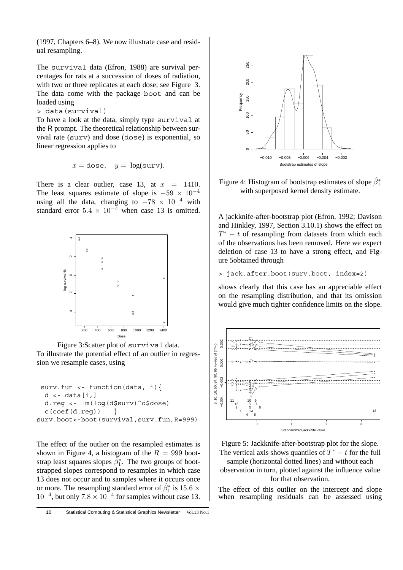(1997, Chapters 6–8). We now illustrate case and residual resampling.

The survival data (Efron, 1988) are survival percentages for rats at a succession of doses of radiation, with two or three replicates at each dose; see Figure 3. The data come with the package boot and can be loaded using

```
> data(survival)
```
To have a look at the data, simply type survival at the R prompt. The theoretical relationship between survival rate (surv) and dose (dose) is exponential, so linear regression applies to

$$
x =
$$
 dose,  $y =$  log(surv).

There is a clear outlier, case 13, at  $x = 1410$ . The least squares estimate of slope is  $-59 \times 10^{-4}$ using all the data, changing to  $-78 \times 10^{-4}$  with standard error  $5.4 \times 10^{-4}$  when case 13 is omitted.



Figure 3:Scatter plot of survival data. To illustrate the potential effect of an outlier in regression we resample cases, using

```
surv.fun <- function(data, i){
  d \leftarrow data[i, ]d.reg <- lm(log(d$surv)˜d$dose)
  c(coef(d.reg)) }
surv.boot<-boot(survival,surv.fun,R=999)
```
The effect of the outlier on the resampled estimates is shown in Figure 4, a histogram of the  $R = 999$  bootstrap least squares slopes  $\tilde{\beta}_1^*$ . The two groups of bootstrapped slopes correspond to resamples in which case 13 does not occur and to samples where it occurs once or more. The resampling standard error of  $\hat{\beta}_1^*$  is 15.6  $\times$  $10^{-4}$ , but only  $7.8 \times 10^{-4}$  for samples without case 13.



Figure 4: Histogram of bootstrap estimates of slope  $\hat{\beta}_1^*$ with superposed kernel density estimate.

A jackknife-after-bootstrap plot (Efron, 1992; Davison and Hinkley, 1997, Section 3.10.1) shows the effect on  $T^* - t$  of resampling from datasets from which each of the observations has been removed. Here we expect deletion of case 13 to have a strong effect, and Figure 5obtained through

> jack.after.boot(surv.boot, index=2)

shows clearly that this case has an appreciable effect on the resampling distribution, and that its omission would give much tighter confidence limits on the slope.



Figure 5: Jackknife-after-bootstrap plot for the slope. The vertical axis shows quantiles of  $T^* - t$  for the full

sample (horizontal dotted lines) and without each observation in turn, plotted against the influence value for that observation.

The effect of this outlier on the intercept and slope when resampling residuals can be assessed using